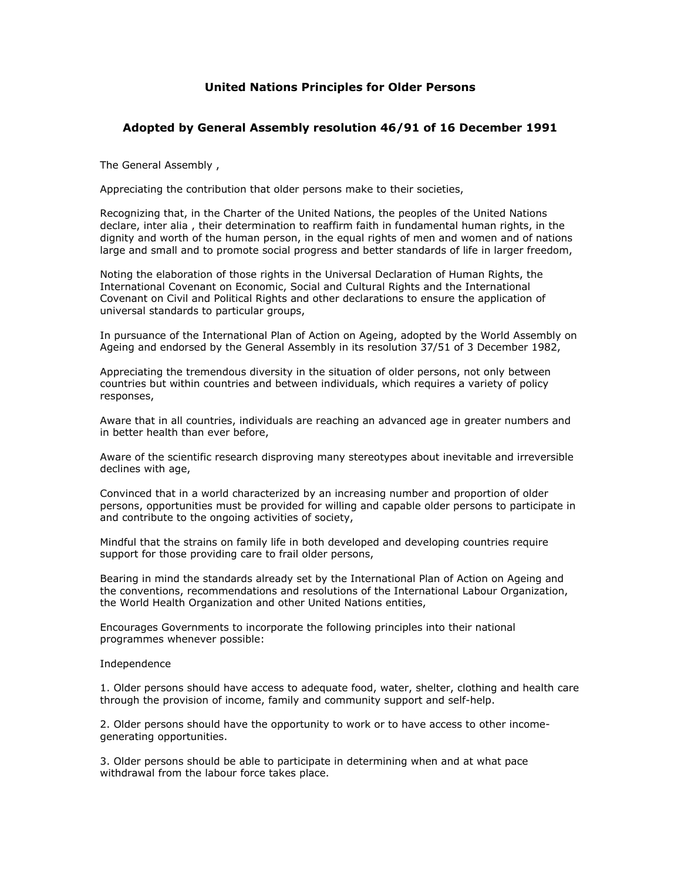# **United Nations Principles for Older Persons**

## **Adopted by General Assembly resolution 46/91 of 16 December 1991**

The General Assembly ,

Appreciating the contribution that older persons make to their societies,

Recognizing that, in the Charter of the United Nations, the peoples of the United Nations declare, inter alia , their determination to reaffirm faith in fundamental human rights, in the dignity and worth of the human person, in the equal rights of men and women and of nations large and small and to promote social progress and better standards of life in larger freedom,

Noting the elaboration of those rights in the Universal Declaration of Human Rights, the International Covenant on Economic, Social and Cultural Rights and the International Covenant on Civil and Political Rights and other declarations to ensure the application of universal standards to particular groups,

In pursuance of the International Plan of Action on Ageing, adopted by the World Assembly on Ageing and endorsed by the General Assembly in its resolution 37/51 of 3 December 1982,

Appreciating the tremendous diversity in the situation of older persons, not only between countries but within countries and between individuals, which requires a variety of policy responses,

Aware that in all countries, individuals are reaching an advanced age in greater numbers and in better health than ever before,

Aware of the scientific research disproving many stereotypes about inevitable and irreversible declines with age,

Convinced that in a world characterized by an increasing number and proportion of older persons, opportunities must be provided for willing and capable older persons to participate in and contribute to the ongoing activities of society,

Mindful that the strains on family life in both developed and developing countries require support for those providing care to frail older persons,

Bearing in mind the standards already set by the International Plan of Action on Ageing and the conventions, recommendations and resolutions of the International Labour Organization, the World Health Organization and other United Nations entities,

Encourages Governments to incorporate the following principles into their national programmes whenever possible:

Independence

1. Older persons should have access to adequate food, water, shelter, clothing and health care through the provision of income, family and community support and self-help.

2. Older persons should have the opportunity to work or to have access to other incomegenerating opportunities.

3. Older persons should be able to participate in determining when and at what pace withdrawal from the labour force takes place.